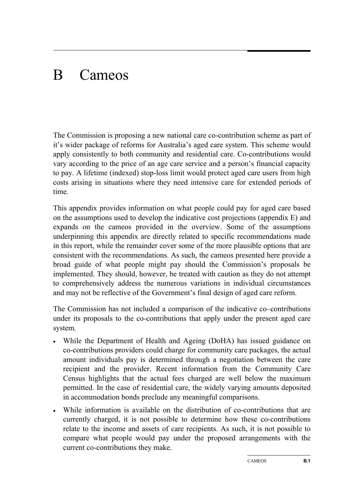# B Cameos

The Commission is proposing a new national care co-contribution scheme as part of it's wider package of reforms for Australia's aged care system. This scheme would apply consistently to both community and residential care. Co-contributions would vary according to the price of an age care service and a person's financial capacity to pay. A lifetime (indexed) stop-loss limit would protect aged care users from high costs arising in situations where they need intensive care for extended periods of time.

This appendix provides information on what people could pay for aged care based on the assumptions used to develop the indicative cost projections (appendix E) and expands on the cameos provided in the overview. Some of the assumptions underpinning this appendix are directly related to specific recommendations made in this report, while the remainder cover some of the more plausible options that are consistent with the recommendations. As such, the cameos presented here provide a broad guide of what people might pay should the Commission's proposals be implemented. They should, however, be treated with caution as they do not attempt to comprehensively address the numerous variations in individual circumstances and may not be reflective of the Government's final design of aged care reform.

The Commission has not included a comparison of the indicative co–contributions under its proposals to the co-contributions that apply under the present aged care system.

- While the Department of Health and Ageing (DoHA) has issued guidance on co-contributions providers could charge for community care packages, the actual amount individuals pay is determined through a negotiation between the care recipient and the provider. Recent information from the Community Care Census highlights that the actual fees charged are well below the maximum permitted. In the case of residential care, the widely varying amounts deposited in accommodation bonds preclude any meaningful comparisons.
- While information is available on the distribution of co-contributions that are currently charged, it is not possible to determine how these co-contributions relate to the income and assets of care recipients. As such, it is not possible to compare what people would pay under the proposed arrangements with the current co-contributions they make.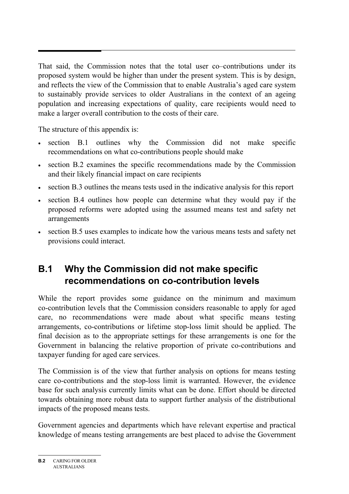That said, the Commission notes that the total user co–contributions under its proposed system would be higher than under the present system. This is by design, and reflects the view of the Commission that to enable Australia's aged care system to sustainably provide services to older Australians in the context of an ageing population and increasing expectations of quality, care recipients would need to make a larger overall contribution to the costs of their care.

The structure of this appendix is:

- section B.1 outlines why the Commission did not make specific recommendations on what co-contributions people should make
- section B.2 examines the specific recommendations made by the Commission and their likely financial impact on care recipients
- section B.3 outlines the means tests used in the indicative analysis for this report
- section B.4 outlines how people can determine what they would pay if the proposed reforms were adopted using the assumed means test and safety net arrangements
- section B.5 uses examples to indicate how the various means tests and safety net provisions could interact.

# **B.1 Why the Commission did not make specific recommendations on co-contribution levels**

While the report provides some guidance on the minimum and maximum co-contribution levels that the Commission considers reasonable to apply for aged care, no recommendations were made about what specific means testing arrangements, co-contributions or lifetime stop-loss limit should be applied. The final decision as to the appropriate settings for these arrangements is one for the Government in balancing the relative proportion of private co-contributions and taxpayer funding for aged care services.

The Commission is of the view that further analysis on options for means testing care co-contributions and the stop-loss limit is warranted. However, the evidence base for such analysis currently limits what can be done. Effort should be directed towards obtaining more robust data to support further analysis of the distributional impacts of the proposed means tests.

Government agencies and departments which have relevant expertise and practical knowledge of means testing arrangements are best placed to advise the Government

**B.2** CARING FOR OLDER AUSTRALIANS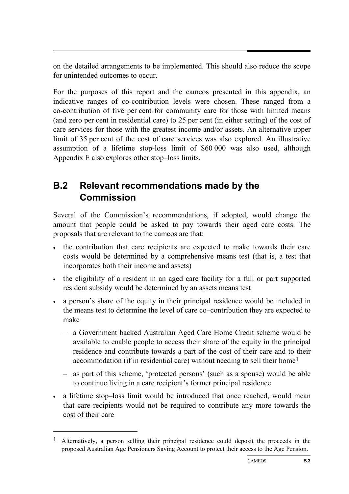on the detailed arrangements to be implemented. This should also reduce the scope for unintended outcomes to occur.

For the purposes of this report and the cameos presented in this appendix, an indicative ranges of co-contribution levels were chosen. These ranged from a co-contribution of five per cent for community care for those with limited means (and zero per cent in residential care) to 25 per cent (in either setting) of the cost of care services for those with the greatest income and/or assets. An alternative upper limit of 35 per cent of the cost of care services was also explored. An illustrative assumption of a lifetime stop-loss limit of \$60 000 was also used, although Appendix E also explores other stop–loss limits.

# **B.2 Relevant recommendations made by the Commission**

Several of the Commission's recommendations, if adopted, would change the amount that people could be asked to pay towards their aged care costs. The proposals that are relevant to the cameos are that:

- the contribution that care recipients are expected to make towards their care costs would be determined by a comprehensive means test (that is, a test that incorporates both their income and assets)
- the eligibility of a resident in an aged care facility for a full or part supported resident subsidy would be determined by an assets means test
- a person's share of the equity in their principal residence would be included in the means test to determine the level of care co–contribution they are expected to make
	- a Government backed Australian Aged Care Home Credit scheme would be available to enable people to access their share of the equity in the principal residence and contribute towards a part of the cost of their care and to their accommodation (if in residential care) without needing to sell their home1
	- as part of this scheme, 'protected persons' (such as a spouse) would be able to continue living in a care recipient's former principal residence
- a lifetime stop–loss limit would be introduced that once reached, would mean that care recipients would not be required to contribute any more towards the cost of their care

1

<sup>1</sup> Alternatively, a person selling their principal residence could deposit the proceeds in the proposed Australian Age Pensioners Saving Account to protect their access to the Age Pension.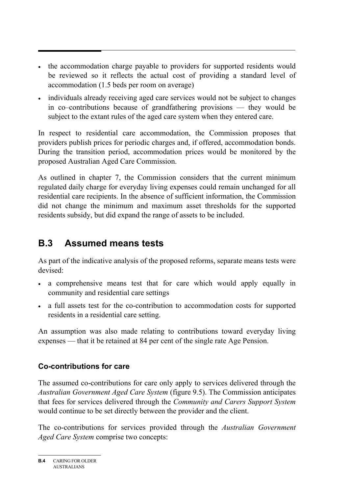- the accommodation charge payable to providers for supported residents would be reviewed so it reflects the actual cost of providing a standard level of accommodation (1.5 beds per room on average)
- individuals already receiving aged care services would not be subject to changes in co–contributions because of grandfathering provisions — they would be subject to the extant rules of the aged care system when they entered care.

In respect to residential care accommodation, the Commission proposes that providers publish prices for periodic charges and, if offered, accommodation bonds. During the transition period, accommodation prices would be monitored by the proposed Australian Aged Care Commission.

As outlined in chapter 7, the Commission considers that the current minimum regulated daily charge for everyday living expenses could remain unchanged for all residential care recipients. In the absence of sufficient information, the Commission did not change the minimum and maximum asset thresholds for the supported residents subsidy, but did expand the range of assets to be included.

# **B.3 Assumed means tests**

As part of the indicative analysis of the proposed reforms, separate means tests were devised:

- a comprehensive means test that for care which would apply equally in community and residential care settings
- a full assets test for the co-contribution to accommodation costs for supported residents in a residential care setting.

An assumption was also made relating to contributions toward everyday living expenses — that it be retained at 84 per cent of the single rate Age Pension.

# **Co-contributions for care**

The assumed co-contributions for care only apply to services delivered through the *Australian Government Aged Care System* (figure 9.5). The Commission anticipates that fees for services delivered through the *Community and Carers Support System*  would continue to be set directly between the provider and the client.

The co-contributions for services provided through the *Australian Government Aged Care System* comprise two concepts:

**B.4** CARING FOR OLDER AUSTRALIANS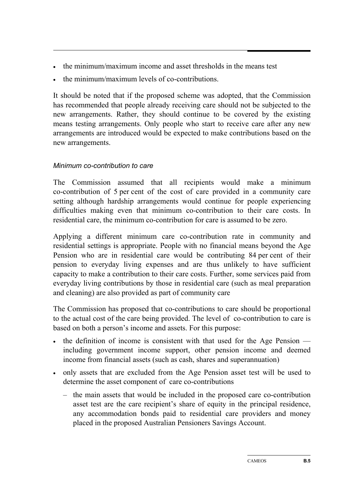- the minimum/maximum income and asset thresholds in the means test
- the minimum/maximum levels of co-contributions.

It should be noted that if the proposed scheme was adopted, that the Commission has recommended that people already receiving care should not be subjected to the new arrangements. Rather, they should continue to be covered by the existing means testing arrangements. Only people who start to receive care after any new arrangements are introduced would be expected to make contributions based on the new arrangements.

#### *Minimum co-contribution to care*

The Commission assumed that all recipients would make a minimum co-contribution of 5 per cent of the cost of care provided in a community care setting although hardship arrangements would continue for people experiencing difficulties making even that minimum co-contribution to their care costs. In residential care, the minimum co-contribution for care is assumed to be zero.

Applying a different minimum care co-contribution rate in community and residential settings is appropriate. People with no financial means beyond the Age Pension who are in residential care would be contributing 84 per cent of their pension to everyday living expenses and are thus unlikely to have sufficient capacity to make a contribution to their care costs. Further, some services paid from everyday living contributions by those in residential care (such as meal preparation and cleaning) are also provided as part of community care

The Commission has proposed that co-contributions to care should be proportional to the actual cost of the care being provided. The level of co-contribution to care is based on both a person's income and assets. For this purpose:

- the definition of income is consistent with that used for the Age Pension including government income support, other pension income and deemed income from financial assets (such as cash, shares and superannuation)
- only assets that are excluded from the Age Pension asset test will be used to determine the asset component of care co-contributions
	- the main assets that would be included in the proposed care co-contribution asset test are the care recipient's share of equity in the principal residence, any accommodation bonds paid to residential care providers and money placed in the proposed Australian Pensioners Savings Account.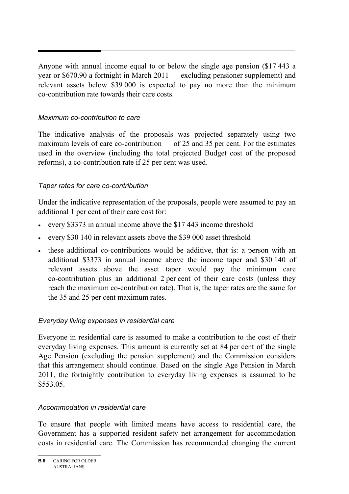Anyone with annual income equal to or below the single age pension (\$17 443 a year or \$670.90 a fortnight in March 2011 — excluding pensioner supplement) and relevant assets below \$39 000 is expected to pay no more than the minimum co-contribution rate towards their care costs.

## *Maximum co-contribution to care*

The indicative analysis of the proposals was projected separately using two maximum levels of care co-contribution — of 25 and 35 per cent. For the estimates used in the overview (including the total projected Budget cost of the proposed reforms), a co-contribution rate if 25 per cent was used.

## *Taper rates for care co-contribution*

Under the indicative representation of the proposals, people were assumed to pay an additional 1 per cent of their care cost for:

- every \$3373 in annual income above the \$17 443 income threshold
- every \$30 140 in relevant assets above the \$39 000 asset threshold
- these additional co-contributions would be additive, that is: a person with an additional \$3373 in annual income above the income taper and \$30 140 of relevant assets above the asset taper would pay the minimum care co-contribution plus an additional 2 per cent of their care costs (unless they reach the maximum co-contribution rate). That is, the taper rates are the same for the 35 and 25 per cent maximum rates.

## *Everyday living expenses in residential care*

Everyone in residential care is assumed to make a contribution to the cost of their everyday living expenses. This amount is currently set at 84 per cent of the single Age Pension (excluding the pension supplement) and the Commission considers that this arrangement should continue. Based on the single Age Pension in March 2011, the fortnightly contribution to everyday living expenses is assumed to be \$553.05.

### *Accommodation in residential care*

To ensure that people with limited means have access to residential care, the Government has a supported resident safety net arrangement for accommodation costs in residential care. The Commission has recommended changing the current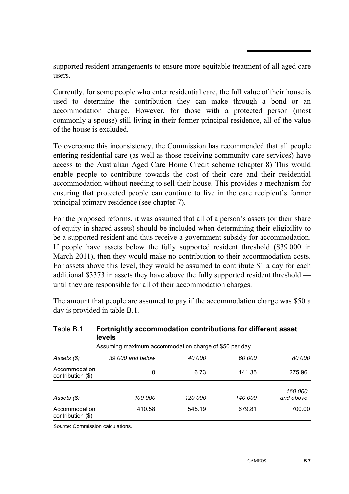supported resident arrangements to ensure more equitable treatment of all aged care users.

Currently, for some people who enter residential care, the full value of their house is used to determine the contribution they can make through a bond or an accommodation charge. However, for those with a protected person (most commonly a spouse) still living in their former principal residence, all of the value of the house is excluded.

To overcome this inconsistency, the Commission has recommended that all people entering residential care (as well as those receiving community care services) have access to the Australian Aged Care Home Credit scheme (chapter 8) This would enable people to contribute towards the cost of their care and their residential accommodation without needing to sell their house. This provides a mechanism for ensuring that protected people can continue to live in the care recipient's former principal primary residence (see chapter 7).

For the proposed reforms, it was assumed that all of a person's assets (or their share of equity in shared assets) should be included when determining their eligibility to be a supported resident and thus receive a government subsidy for accommodation. If people have assets below the fully supported resident threshold (\$39 000 in March 2011), then they would make no contribution to their accommodation costs. For assets above this level, they would be assumed to contribute \$1 a day for each additional \$3373 in assets they have above the fully supported resident threshold until they are responsible for all of their accommodation charges.

The amount that people are assumed to pay if the accommodation charge was \$50 a day is provided in table B.1.

| Table B.1                          | Fortnightly accommodation contributions for different asset<br>levels |                |                |                                    |
|------------------------------------|-----------------------------------------------------------------------|----------------|----------------|------------------------------------|
|                                    | Assuming maximum accommodation charge of \$50 per day                 |                |                |                                    |
| Assets (\$)                        | 39 000 and below                                                      | 40 000         | 60 000         | 80 000                             |
| Accommodation<br>contribution (\$) | 0                                                                     | 6.73           | 141.35         | 275.96                             |
| Assets (\$)                        | 100 000                                                               | <i>120 000</i> | <i>140 000</i> | <i><b>160 000</b></i><br>and above |
| Accommodation<br>contribution (\$) | 410.58                                                                | 545.19         | 679.81         | 700.00                             |

Table B.1 **Fortnightly accommodation contributions for different asset**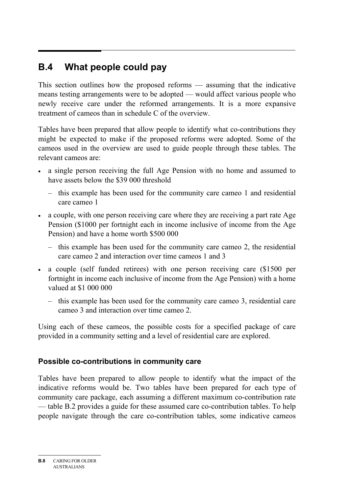# **B.4 What people could pay**

This section outlines how the proposed reforms — assuming that the indicative means testing arrangements were to be adopted — would affect various people who newly receive care under the reformed arrangements. It is a more expansive treatment of cameos than in schedule C of the overview.

Tables have been prepared that allow people to identify what co-contributions they might be expected to make if the proposed reforms were adopted. Some of the cameos used in the overview are used to guide people through these tables. The relevant cameos are:

- a single person receiving the full Age Pension with no home and assumed to have assets below the \$39 000 threshold
	- this example has been used for the community care cameo 1 and residential care cameo 1
- a couple, with one person receiving care where they are receiving a part rate Age Pension (\$1000 per fortnight each in income inclusive of income from the Age Pension) and have a home worth \$500 000
	- this example has been used for the community care cameo 2, the residential care cameo 2 and interaction over time cameos 1 and 3
- a couple (self funded retirees) with one person receiving care (\$1500 per fortnight in income each inclusive of income from the Age Pension) with a home valued at \$1 000 000
	- this example has been used for the community care cameo 3, residential care cameo 3 and interaction over time cameo 2.

Using each of these cameos, the possible costs for a specified package of care provided in a community setting and a level of residential care are explored.

### **Possible co-contributions in community care**

Tables have been prepared to allow people to identify what the impact of the indicative reforms would be. Two tables have been prepared for each type of community care package, each assuming a different maximum co-contribution rate — table B.2 provides a guide for these assumed care co-contribution tables. To help people navigate through the care co-contribution tables, some indicative cameos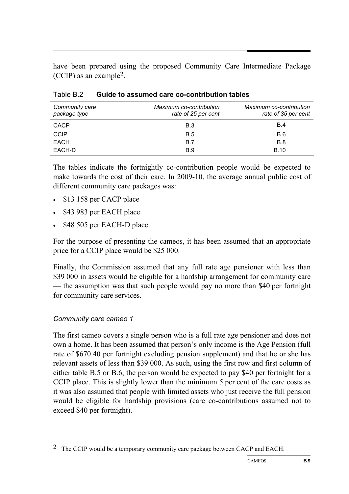have been prepared using the proposed Community Care Intermediate Package (CCIP) as an example2.

| Community care<br>package type | Maximum co-contribution<br>rate of 25 per cent | Maximum co-contribution<br>rate of 35 per cent |
|--------------------------------|------------------------------------------------|------------------------------------------------|
| CACP                           | B.3                                            | <b>B.4</b>                                     |
| <b>CCIP</b>                    | B.5                                            | B.6                                            |
| EACH                           | B.7                                            | B.8                                            |
| EACH-D                         | <b>B.9</b>                                     | <b>B.10</b>                                    |

Table B.2 **Guide to assumed care co-contribution tables** 

The tables indicate the fortnightly co-contribution people would be expected to make towards the cost of their care. In 2009-10, the average annual public cost of different community care packages was:

- \$13 158 per CACP place
- \$43 983 per EACH place
- \$48 505 per EACH-D place.

For the purpose of presenting the cameos, it has been assumed that an appropriate price for a CCIP place would be \$25 000.

Finally, the Commission assumed that any full rate age pensioner with less than \$39 000 in assets would be eligible for a hardship arrangement for community care — the assumption was that such people would pay no more than \$40 per fortnight for community care services.

#### *Community care cameo 1*

1

The first cameo covers a single person who is a full rate age pensioner and does not own a home. It has been assumed that person's only income is the Age Pension (full rate of \$670.40 per fortnight excluding pension supplement) and that he or she has relevant assets of less than \$39 000. As such, using the first row and first column of either table B.5 or B.6, the person would be expected to pay \$40 per fortnight for a CCIP place. This is slightly lower than the minimum 5 per cent of the care costs as it was also assumed that people with limited assets who just receive the full pension would be eligible for hardship provisions (care co-contributions assumed not to exceed \$40 per fortnight).

<sup>2</sup> The CCIP would be a temporary community care package between CACP and EACH.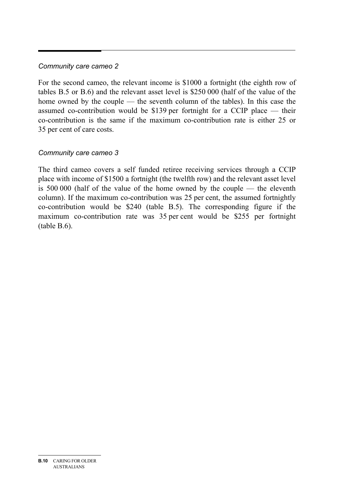#### *Community care cameo 2*

For the second cameo, the relevant income is \$1000 a fortnight (the eighth row of tables B.5 or B.6) and the relevant asset level is \$250 000 (half of the value of the home owned by the couple — the seventh column of the tables). In this case the assumed co-contribution would be \$139 per fortnight for a CCIP place — their co-contribution is the same if the maximum co-contribution rate is either 25 or 35 per cent of care costs.

#### *Community care cameo 3*

The third cameo covers a self funded retiree receiving services through a CCIP place with income of \$1500 a fortnight (the twelfth row) and the relevant asset level is 500 000 (half of the value of the home owned by the couple — the eleventh column). If the maximum co-contribution was 25 per cent, the assumed fortnightly co-contribution would be \$240 (table B.5). The corresponding figure if the maximum co-contribution rate was 35 per cent would be \$255 per fortnight (table B.6).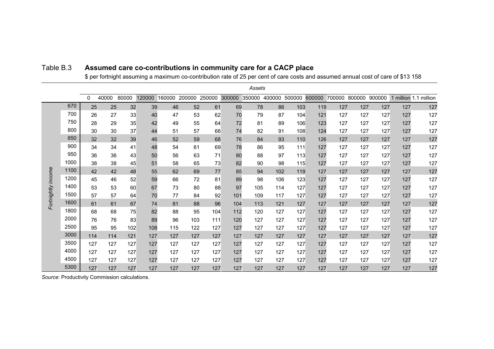|                    |      |     |       |       |        |                      |     |     |     | Assets                      |     |     |     |                      |     |        |     |                       |
|--------------------|------|-----|-------|-------|--------|----------------------|-----|-----|-----|-----------------------------|-----|-----|-----|----------------------|-----|--------|-----|-----------------------|
|                    |      | 0   | 40000 | 80000 | 120000 | 160000 200000 250000 |     |     |     | 300000 350000 400000 500000 |     |     |     | 600000 700000 800000 |     | 900000 |     | 1 million 1.1 million |
|                    | 670  | 25  | 25    | 32    | 39     | 46                   | 52  | 61  | 69  | 78                          | 86  | 103 | 119 | 127                  | 127 | 127    | 127 | 127                   |
|                    | 700  | 26  | 27    | 33    | 40     | 47                   | 53  | 62  | 70  | 79                          | 87  | 104 | 121 | 127                  | 127 | 127    | 127 | 127                   |
|                    | 750  | 28  | 29    | 35    | 42     | 49                   | 55  | 64  | 72  | 81                          | 89  | 106 | 123 | 127                  | 127 | 127    | 127 | 127                   |
|                    | 800  | 30  | 30    | 37    | 44     | 51                   | 57  | 66  | 74  | 82                          | 91  | 108 | 124 | 127                  | 127 | 127    | 127 | 127                   |
|                    | 850  | 32  | 32    | 39    | 46     | 52                   | 59  | 68  | 76  | 84                          | 93  | 110 | 126 | 127                  | 127 | 127    | 127 | 127                   |
|                    | 900  | 34  | 34    | 41    | 48     | 54                   | 61  | 69  | 78  | 86                          | 95  | 111 | 127 | 127                  | 127 | 127    | 127 | 127                   |
|                    | 950  | 36  | 36    | 43    | 50     | 56                   | 63  | 71  | 80  | 88                          | 97  | 113 | 127 | 127                  | 127 | 127    | 127 | 127                   |
|                    | 1000 | 38  | 38    | 45    | 51     | 58                   | 65  | 73  | 82  | 90                          | 98  | 115 | 127 | 127                  | 127 | 127    | 127 | 127                   |
|                    | 1100 | 42  | 42    | 48    | 55     | 62                   | 69  | 77  | 85  | 94                          | 102 | 119 | 127 | 127                  | 127 | 127    | 127 | 127                   |
|                    | 1200 | 45  | 46    | 52    | 59     | 66                   | 72  | 81  | 89  | 98                          | 106 | 123 | 127 | 127                  | 127 | 127    | 127 | 127                   |
|                    | 1400 | 53  | 53    | 60    | 67     | 73                   | 80  | 88  | 97  | 105                         | 114 | 127 | 127 | 127                  | 127 | 127    | 127 | 127                   |
|                    | 1500 | 57  | 57    | 64    | 70     | 77                   | 84  | 92  | 101 | 109                         | 117 | 127 | 127 | 127                  | 127 | 127    | 127 | 127                   |
| Fortnightly income | 1600 | 61  | 61    | 67    | 74     | 81                   | 88  | 96  | 104 | 113                         | 121 | 127 | 127 | 127                  | 127 | 127    | 127 | 127                   |
|                    | 1800 | 68  | 68    | 75    | 82     | 88                   | 95  | 104 | 112 | 120                         | 127 | 127 | 127 | 127                  | 127 | 127    | 127 | 127                   |
|                    | 2000 | 76  | 76    | 83    | 89     | 96                   | 103 | 111 | 120 | 127                         | 127 | 127 | 127 | 127                  | 127 | 127    | 127 | 127                   |
|                    | 2500 | 95  | 95    | 102   | 108    | 115                  | 122 | 127 | 127 | 127                         | 127 | 127 | 127 | 127                  | 127 | 127    | 127 | 127                   |
|                    | 3000 | 114 | 114   | 121   | 127    | 127                  | 127 | 127 | 127 | 127                         | 127 | 127 | 127 | 127                  | 127 | 127    | 127 | 127                   |
|                    | 3500 | 127 | 127   | 127   | 127    | 127                  | 127 | 127 | 127 | 127                         | 127 | 127 | 127 | 127                  | 127 | 127    | 127 | 127                   |
|                    | 4000 | 127 | 127   | 127   | 127    | 127                  | 127 | 127 | 127 | 127                         | 127 | 127 | 127 | 127                  | 127 | 127    | 127 | 127                   |
|                    | 4500 | 127 | 127   | 127   | 127    | 127                  | 127 | 127 | 127 | 127                         | 127 | 127 | 127 | 127                  | 127 | 127    | 127 | 127                   |
|                    | 5300 | 127 | 127   | 127   | 127    | 127                  | 127 | 127 | 127 | 127                         | 127 | 127 | 127 | 127                  | 127 | 127    | 127 | 127                   |

#### Table B.3 **Assumed care co-contributions in community care for a CACP place**

\$ per fortnight assuming a maximum co-contribution rate of 25 per cent of care costs and assumed annual cost of care of \$13 158

*Source*: Productivity Commission calculations.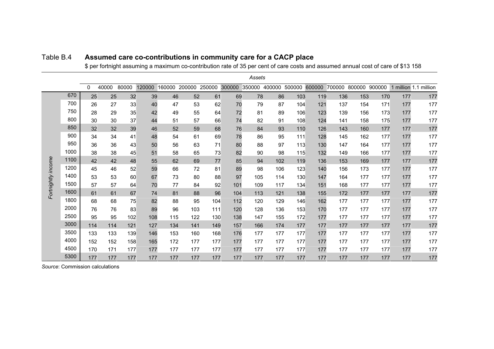|                    |      |          |       |       |        |        |        |        |        | Assets |               |        |        |     |               |        |                       |     |
|--------------------|------|----------|-------|-------|--------|--------|--------|--------|--------|--------|---------------|--------|--------|-----|---------------|--------|-----------------------|-----|
|                    |      | $\Omega$ | 40000 | 80000 | 120000 | 160000 | 200000 | 250000 | 300000 |        | 350000 400000 | 500000 | 600000 |     | 700000 800000 | 900000 | 1 million 1.1 million |     |
|                    | 670  | 25       | 25    | 32    | 39     | 46     | 52     | 61     | 69     | 78     | 86            | 103    | 119    | 136 | 153           | 170    | 177                   | 177 |
|                    | 700  | 26       | 27    | 33    | 40     | 47     | 53     | 62     | 70     | 79     | 87            | 104    | 121    | 137 | 154           | 171    | 177                   | 177 |
|                    | 750  | 28       | 29    | 35    | 42     | 49     | 55     | 64     | 72     | 81     | 89            | 106    | 123    | 139 | 156           | 173    | 177                   | 177 |
|                    | 800  | 30       | 30    | 37    | 44     | 51     | 57     | 66     | 74     | 82     | 91            | 108    | 124    | 141 | 158           | 175    | 177                   | 177 |
|                    | 850  | 32       | 32    | 39    | 46     | 52     | 59     | 68     | 76     | 84     | 93            | 110    | 126    | 143 | 160           | 177    | 177                   | 177 |
|                    | 900  | 34       | 34    | 41    | 48     | 54     | 61     | 69     | 78     | 86     | 95            | 111    | 128    | 145 | 162           | 177    | 177                   | 177 |
|                    | 950  | 36       | 36    | 43    | 50     | 56     | 63     | 71     | 80     | 88     | 97            | 113    | 130    | 147 | 164           | 177    | 177                   | 177 |
|                    | 1000 | 38       | 38    | 45    | 51     | 58     | 65     | 73     | 82     | 90     | 98            | 115    | 132    | 149 | 166           | 177    | 177                   | 177 |
| Fortnightly income | 1100 | 42       | 42    | 48    | 55     | 62     | 69     | 77     | 85     | 94     | 102           | 119    | 136    | 153 | 169           | 177    | 177                   | 177 |
|                    | 1200 | 45       | 46    | 52    | 59     | 66     | 72     | 81     | 89     | 98     | 106           | 123    | 140    | 156 | 173           | 177    | 177                   | 177 |
|                    | 1400 | 53       | 53    | 60    | 67     | 73     | 80     | 88     | 97     | 105    | 114           | 130    | 147    | 164 | 177           | 177    | 177                   | 177 |
|                    | 1500 | 57       | 57    | 64    | 70     | 77     | 84     | 92     | 101    | 109    | 117           | 134    | 151    | 168 | 177           | 177    | 177                   | 177 |
|                    | 1600 | 61       | 61    | 67    | 74     | 81     | 88     | 96     | 104    | 113    | 121           | 138    | 155    | 172 | 177           | 177    | 177                   | 177 |
|                    | 1800 | 68       | 68    | 75    | 82     | 88     | 95     | 104    | 112    | 120    | 129           | 146    | 162    | 177 | 177           | 177    | 177                   | 177 |
|                    | 2000 | 76       | 76    | 83    | 89     | 96     | 103    | 111    | 120    | 128    | 136           | 153    | 170    | 177 | 177           | 177    | 177                   | 177 |
|                    | 2500 | 95       | 95    | 102   | 108    | 115    | 122    | 130    | 138    | 147    | 155           | 172    | 177    | 177 | 177           | 177    | 177                   | 177 |
|                    | 3000 | 114      | 114   | 121   | 127    | 134    | 141    | 149    | 157    | 166    | 174           | 177    | 177    | 177 | 177           | 177    | 177                   | 177 |
|                    | 3500 | 133      | 133   | 139   | 146    | 153    | 160    | 168    | 176    | 177    | 177           | 177    | 177    | 177 | 177           | 177    | 177                   | 177 |
|                    | 4000 | 152      | 152   | 158   | 165    | 172    | 177    | 177    | 177    | 177    | 177           | 177    | 177    | 177 | 177           | 177    | 177                   | 177 |
|                    | 4500 | 170      | 171   | 177   | 177    | 177    | 177    | 177    | 177    | 177    | 177           | 177    | 177    | 177 | 177           | 177    | 177                   | 177 |
|                    | 5300 | 177      | 177   | 177   | 177    | 177    | 177    | 177    | 177    | 177    | 177           | 177    | 177    | 177 | 177           | 177    | 177                   | 177 |

#### Table B.4 **Assumed care co-contributions in community care for a CACP place**

\$ per fortnight assuming a maximum co-contribution rate of 35 per cent of care costs and assumed annual cost of care of \$13 158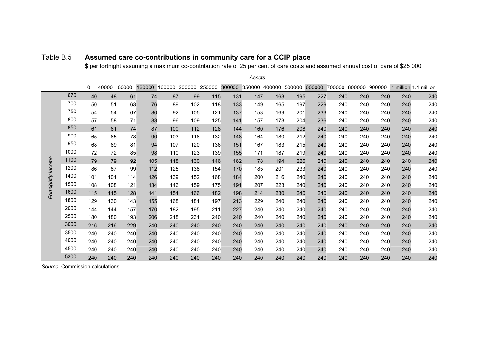|                    |      |          |       |       |        |        |        |        |        | Assets |        |        |        |        |        |        |     |                       |
|--------------------|------|----------|-------|-------|--------|--------|--------|--------|--------|--------|--------|--------|--------|--------|--------|--------|-----|-----------------------|
|                    |      | $\Omega$ | 40000 | 80000 | 120000 | 160000 | 200000 | 250000 | 300000 | 350000 | 400000 | 500000 | 600000 | 700000 | 800000 | 900000 |     | 1 million 1.1 million |
|                    | 670  | 40       | 48    | 61    | 74     | 87     | 99     | 115    | 131    | 147    | 163    | 195    | 227    | 240    | 240    | 240    | 240 | 240                   |
|                    | 700  | 50       | 51    | 63    | 76     | 89     | 102    | 118    | 133    | 149    | 165    | 197    | 229    | 240    | 240    | 240    | 240 | 240                   |
|                    | 750  | 54       | 54    | 67    | 80     | 92     | 105    | 121    | 137    | 153    | 169    | 201    | 233    | 240    | 240    | 240    | 240 | 240                   |
|                    | 800  | 57       | 58    | 71    | 83     | 96     | 109    | 125    | 141    | 157    | 173    | 204    | 236    | 240    | 240    | 240    | 240 | 240                   |
|                    | 850  | 61       | 61    | 74    | 87     | 100    | 112    | 128    | 144    | 160    | 176    | 208    | 240    | 240    | 240    | 240    | 240 | 240                   |
|                    | 900  | 65       | 65    | 78    | 90     | 103    | 116    | 132    | 148    | 164    | 180    | 212    | 240    | 240    | 240    | 240    | 240 | 240                   |
|                    | 950  | 68       | 69    | 81    | 94     | 107    | 120    | 136    | 151    | 167    | 183    | 215    | 240    | 240    | 240    | 240    | 240 | 240                   |
|                    | 1000 | 72       | 72    | 85    | 98     | 110    | 123    | 139    | 155    | 171    | 187    | 219    | 240    | 240    | 240    | 240    | 240 | 240                   |
| Fortnightly income | 1100 | 79       | 79    | 92    | 105    | 118    | 130    | 146    | 162    | 178    | 194    | 226    | 240    | 240    | 240    | 240    | 240 | 240                   |
|                    | 1200 | 86       | 87    | 99    | 112    | 125    | 138    | 154    | 170    | 185    | 201    | 233    | 240    | 240    | 240    | 240    | 240 | 240                   |
|                    | 1400 | 101      | 101   | 114   | 126    | 139    | 152    | 168    | 184    | 200    | 216    | 240    | 240    | 240    | 240    | 240    | 240 | 240                   |
|                    | 1500 | 108      | 108   | 121   | 134    | 146    | 159    | 175    | 191    | 207    | 223    | 240    | 240    | 240    | 240    | 240    | 240 | 240                   |
|                    | 1600 | 115      | 115   | 128   | 141    | 154    | 166    | 182    | 198    | 214    | 230    | 240    | 240    | 240    | 240    | 240    | 240 | 240                   |
|                    | 1800 | 129      | 130   | 143   | 155    | 168    | 181    | 197    | 213    | 229    | 240    | 240    | 240    | 240    | 240    | 240    | 240 | 240                   |
|                    | 2000 | 144      | 144   | 157   | 170    | 182    | 195    | 211    | 227    | 240    | 240    | 240    | 240    | 240    | 240    | 240    | 240 | 240                   |
|                    | 2500 | 180      | 180   | 193   | 206    | 218    | 231    | 240    | 240    | 240    | 240    | 240    | 240    | 240    | 240    | 240    | 240 | 240                   |
|                    | 3000 | 216      | 216   | 229   | 240    | 240    | 240    | 240    | 240    | 240    | 240    | 240    | 240    | 240    | 240    | 240    | 240 | 240                   |
|                    | 3500 | 240      | 240   | 240   | 240    | 240    | 240    | 240    | 240    | 240    | 240    | 240    | 240    | 240    | 240    | 240    | 240 | 240                   |
|                    | 4000 | 240      | 240   | 240   | 240    | 240    | 240    | 240    | 240    | 240    | 240    | 240    | 240    | 240    | 240    | 240    | 240 | 240                   |
|                    | 4500 | 240      | 240   | 240   | 240    | 240    | 240    | 240    | 240    | 240    | 240    | 240    | 240    | 240    | 240    | 240    | 240 | 240                   |
|                    | 5300 | 240      | 240   | 240   | 240    | 240    | 240    | 240    | 240    | 240    | 240    | 240    | 240    | 240    | 240    | 240    | 240 | 240                   |

#### Table B.5 **Assumed care co-contributions in community care for a CCIP place**

\$ per fortnight assuming a maximum co-contribution rate of 25 per cent of care costs and assumed annual cost of care of \$25 000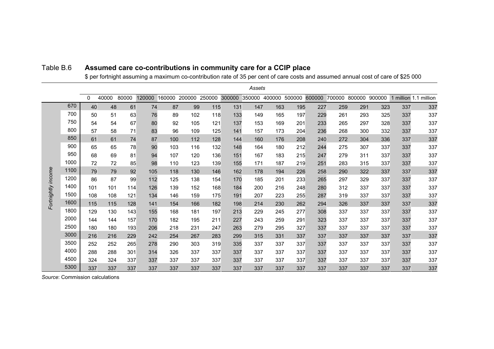|                    |      |          |       |       |        |     |                      |     |        | Assets |     |                      |        |                      |     |     |     |                       |
|--------------------|------|----------|-------|-------|--------|-----|----------------------|-----|--------|--------|-----|----------------------|--------|----------------------|-----|-----|-----|-----------------------|
|                    |      | $\Omega$ | 40000 | 80000 | 120000 |     | 160000 200000 250000 |     | 300000 |        |     | 350000 400000 500000 | 600000 | 700000 800000 900000 |     |     |     | 1 million 1.1 million |
|                    | 670  | 40       | 48    | 61    | 74     | 87  | 99                   | 115 | 131    | 147    | 163 | 195                  | 227    | 259                  | 291 | 323 | 337 | 337                   |
|                    | 700  | 50       | 51    | 63    | 76     | 89  | 102                  | 118 | 133    | 149    | 165 | 197                  | 229    | 261                  | 293 | 325 | 337 | 337                   |
|                    | 750  | 54       | 54    | 67    | 80     | 92  | 105                  | 121 | 137    | 153    | 169 | 201                  | 233    | 265                  | 297 | 328 | 337 | 337                   |
|                    | 800  | 57       | 58    | 71    | 83     | 96  | 109                  | 125 | 141    | 157    | 173 | 204                  | 236    | 268                  | 300 | 332 | 337 | 337                   |
|                    | 850  | 61       | 61    | 74    | 87     | 100 | 112                  | 128 | 144    | 160    | 176 | 208                  | 240    | 272                  | 304 | 336 | 337 | 337                   |
|                    | 900  | 65       | 65    | 78    | 90     | 103 | 116                  | 132 | 148    | 164    | 180 | 212                  | 244    | 275                  | 307 | 337 | 337 | 337                   |
|                    | 950  | 68       | 69    | 81    | 94     | 107 | 120                  | 136 | 151    | 167    | 183 | 215                  | 247    | 279                  | 311 | 337 | 337 | 337                   |
|                    | 1000 | 72       | 72    | 85    | 98     | 110 | 123                  | 139 | 155    | 171    | 187 | 219                  | 251    | 283                  | 315 | 337 | 337 | 337                   |
| Fortnightly income | 1100 | 79       | 79    | 92    | 105    | 118 | 130                  | 146 | 162    | 178    | 194 | 226                  | 258    | 290                  | 322 | 337 | 337 | 337                   |
|                    | 1200 | 86       | 87    | 99    | 112    | 125 | 138                  | 154 | 170    | 185    | 201 | 233                  | 265    | 297                  | 329 | 337 | 337 | 337                   |
|                    | 1400 | 101      | 101   | 114   | 126    | 139 | 152                  | 168 | 184    | 200    | 216 | 248                  | 280    | 312                  | 337 | 337 | 337 | 337                   |
|                    | 1500 | 108      | 108   | 121   | 134    | 146 | 159                  | 175 | 191    | 207    | 223 | 255                  | 287    | 319                  | 337 | 337 | 337 | 337                   |
|                    | 1600 | 115      | 115   | 128   | 141    | 154 | 166                  | 182 | 198    | 214    | 230 | 262                  | 294    | 326                  | 337 | 337 | 337 | 337                   |
|                    | 1800 | 129      | 130   | 143   | 155    | 168 | 181                  | 197 | 213    | 229    | 245 | 277                  | 308    | 337                  | 337 | 337 | 337 | 337                   |
|                    | 2000 | 144      | 144   | 157   | 170    | 182 | 195                  | 211 | 227    | 243    | 259 | 291                  | 323    | 337                  | 337 | 337 | 337 | 337                   |
|                    | 2500 | 180      | 180   | 193   | 206    | 218 | 231                  | 247 | 263    | 279    | 295 | 327                  | 337    | 337                  | 337 | 337 | 337 | 337                   |
|                    | 3000 | 216      | 216   | 229   | 242    | 254 | 267                  | 283 | 299    | 315    | 331 | 337                  | 337    | 337                  | 337 | 337 | 337 | 337                   |
|                    | 3500 | 252      | 252   | 265   | 278    | 290 | 303                  | 319 | 335    | 337    | 337 | 337                  | 337    | 337                  | 337 | 337 | 337 | 337                   |
|                    | 4000 | 288      | 288   | 301   | 314    | 326 | 337                  | 337 | 337    | 337    | 337 | 337                  | 337    | 337                  | 337 | 337 | 337 | 337                   |
|                    | 4500 | 324      | 324   | 337   | 337    | 337 | 337                  | 337 | 337    | 337    | 337 | 337                  | 337    | 337                  | 337 | 337 | 337 | 337                   |
|                    | 5300 | 337      | 337   | 337   | 337    | 337 | 337                  | 337 | 337    | 337    | 337 | 337                  | 337    | 337                  | 337 | 337 | 337 | 337                   |

#### Table B.6 **Assumed care co-contributions in community care for a CCIP place**

\$ per fortnight assuming a maximum co-contribution rate of 35 per cent of care costs and assumed annual cost of care of \$25 000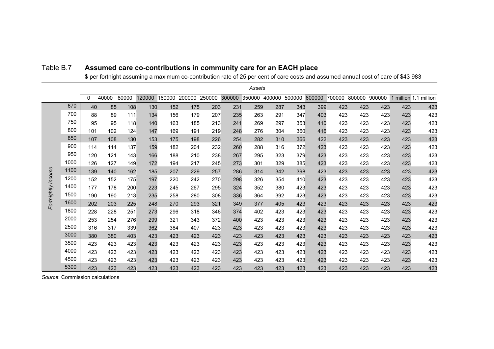|                    |      |          |       |       |        |        |               |     |        | Assets        |     |        |        |        |        |        |     |                       |
|--------------------|------|----------|-------|-------|--------|--------|---------------|-----|--------|---------------|-----|--------|--------|--------|--------|--------|-----|-----------------------|
|                    |      | $\Omega$ | 40000 | 80000 | 120000 | 160000 | 200000 250000 |     | 300000 | 350000 400000 |     | 500000 | 600000 | 700000 | 800000 | 900000 |     | 1 million 1.1 million |
|                    | 670  | 40       | 85    | 108   | 130    | 152    | 175           | 203 | 231    | 259           | 287 | 343    | 399    | 423    | 423    | 423    | 423 | 423                   |
|                    | 700  | 88       | 89    | 111   | 134    | 156    | 179           | 207 | 235    | 263           | 291 | 347    | 403    | 423    | 423    | 423    | 423 | 423                   |
|                    | 750  | 95       | 95    | 118   | 140    | 163    | 185           | 213 | 241    | 269           | 297 | 353    | 410    | 423    | 423    | 423    | 423 | 423                   |
|                    | 800  | 101      | 102   | 124   | 147    | 169    | 191           | 219 | 248    | 276           | 304 | 360    | 416    | 423    | 423    | 423    | 423 | 423                   |
|                    | 850  | 107      | 108   | 130   | 153    | 175    | 198           | 226 | 254    | 282           | 310 | 366    | 422    | 423    | 423    | 423    | 423 | 423                   |
|                    | 900  | 114      | 114   | 137   | 159    | 182    | 204           | 232 | 260    | 288           | 316 | 372    | 423    | 423    | 423    | 423    | 423 | 423                   |
|                    | 950  | 120      | 121   | 143   | 166    | 188    | 210           | 238 | 267    | 295           | 323 | 379    | 423    | 423    | 423    | 423    | 423 | 423                   |
|                    | 1000 | 126      | 127   | 149   | 172    | 194    | 217           | 245 | 273    | 301           | 329 | 385    | 423    | 423    | 423    | 423    | 423 | 423                   |
| Fortnightly income | 1100 | 139      | 140   | 162   | 185    | 207    | 229           | 257 | 286    | 314           | 342 | 398    | 423    | 423    | 423    | 423    | 423 | 423                   |
|                    | 1200 | 152      | 152   | 175   | 197    | 220    | 242           | 270 | 298    | 326           | 354 | 410    | 423    | 423    | 423    | 423    | 423 | 423                   |
|                    | 1400 | 177      | 178   | 200   | 223    | 245    | 267           | 295 | 324    | 352           | 380 | 423    | 423    | 423    | 423    | 423    | 423 | 423                   |
|                    | 1500 | 190      | 190   | 213   | 235    | 258    | 280           | 308 | 336    | 364           | 392 | 423    | 423    | 423    | 423    | 423    | 423 | 423                   |
|                    | 1600 | 202      | 203   | 225   | 248    | 270    | 293           | 321 | 349    | 377           | 405 | 423    | 423    | 423    | 423    | 423    | 423 | 423                   |
|                    | 1800 | 228      | 228   | 251   | 273    | 296    | 318           | 346 | 374    | 402           | 423 | 423    | 423    | 423    | 423    | 423    | 423 | 423                   |
|                    | 2000 | 253      | 254   | 276   | 299    | 321    | 343           | 372 | 400    | 423           | 423 | 423    | 423    | 423    | 423    | 423    | 423 | 423                   |
|                    | 2500 | 316      | 317   | 339   | 362    | 384    | 407           | 423 | 423    | 423           | 423 | 423    | 423    | 423    | 423    | 423    | 423 | 423                   |
|                    | 3000 | 380      | 380   | 403   | 423    | 423    | 423           | 423 | 423    | 423           | 423 | 423    | 423    | 423    | 423    | 423    | 423 | 423                   |
|                    | 3500 | 423      | 423   | 423   | 423    | 423    | 423           | 423 | 423    | 423           | 423 | 423    | 423    | 423    | 423    | 423    | 423 | 423                   |
|                    | 4000 | 423      | 423   | 423   | 423    | 423    | 423           | 423 | 423    | 423           | 423 | 423    | 423    | 423    | 423    | 423    | 423 | 423                   |
|                    | 4500 | 423      | 423   | 423   | 423    | 423    | 423           | 423 | 423    | 423           | 423 | 423    | 423    | 423    | 423    | 423    | 423 | 423                   |
|                    | 5300 | 423      | 423   | 423   | 423    | 423    | 423           | 423 | 423    | 423           | 423 | 423    | 423    | 423    | 423    | 423    | 423 | 423                   |

#### Table B.7 **Assumed care co-contributions in community care for an EACH place**

\$ per fortnight assuming a maximum co-contribution rate of 25 per cent of care costs and assumed annual cost of care of \$43 983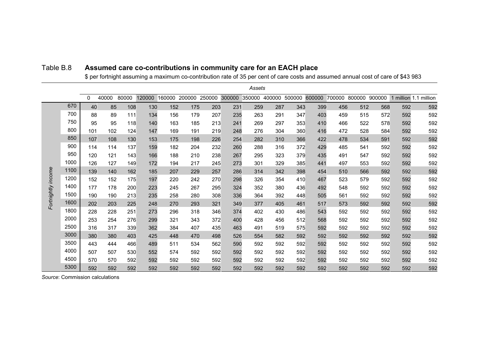|                    |      |          |       |       |        |     |                      |     |        | Assets |     |                      |        |        |               |     |     |                       |
|--------------------|------|----------|-------|-------|--------|-----|----------------------|-----|--------|--------|-----|----------------------|--------|--------|---------------|-----|-----|-----------------------|
|                    |      | $\Omega$ | 40000 | 80000 | 120000 |     | 160000 200000 250000 |     | 300000 |        |     | 350000 400000 500000 | 600000 | 700000 | 800000 900000 |     |     | 1 million 1.1 million |
|                    | 670  | 40       | 85    | 108   | 130    | 152 | 175                  | 203 | 231    | 259    | 287 | 343                  | 399    | 456    | 512           | 568 | 592 | 592                   |
|                    | 700  | 88       | 89    | 111   | 134    | 156 | 179                  | 207 | 235    | 263    | 291 | 347                  | 403    | 459    | 515           | 572 | 592 | 592                   |
|                    | 750  | 95       | 95    | 118   | 140    | 163 | 185                  | 213 | 241    | 269    | 297 | 353                  | 410    | 466    | 522           | 578 | 592 | 592                   |
|                    | 800  | 101      | 102   | 124   | 147    | 169 | 191                  | 219 | 248    | 276    | 304 | 360                  | 416    | 472    | 528           | 584 | 592 | 592                   |
|                    | 850  | 107      | 108   | 130   | 153    | 175 | 198                  | 226 | 254    | 282    | 310 | 366                  | 422    | 478    | 534           | 591 | 592 | 592                   |
|                    | 900  | 114      | 114   | 137   | 159    | 182 | 204                  | 232 | 260    | 288    | 316 | 372                  | 429    | 485    | 541           | 592 | 592 | 592                   |
|                    | 950  | 120      | 121   | 143   | 166    | 188 | 210                  | 238 | 267    | 295    | 323 | 379                  | 435    | 491    | 547           | 592 | 592 | 592                   |
|                    | 1000 | 126      | 127   | 149   | 172    | 194 | 217                  | 245 | 273    | 301    | 329 | 385                  | 441    | 497    | 553           | 592 | 592 | 592                   |
|                    | 1100 | 139      | 140   | 162   | 185    | 207 | 229                  | 257 | 286    | 314    | 342 | 398                  | 454    | 510    | 566           | 592 | 592 | 592                   |
|                    | 1200 | 152      | 152   | 175   | 197    | 220 | 242                  | 270 | 298    | 326    | 354 | 410                  | 467    | 523    | 579           | 592 | 592 | 592                   |
|                    | 1400 | 177      | 178   | 200   | 223    | 245 | 267                  | 295 | 324    | 352    | 380 | 436                  | 492    | 548    | 592           | 592 | 592 | 592                   |
|                    | 1500 | 190      | 190   | 213   | 235    | 258 | 280                  | 308 | 336    | 364    | 392 | 448                  | 505    | 561    | 592           | 592 | 592 | 592                   |
| Fortnightly income | 1600 | 202      | 203   | 225   | 248    | 270 | 293                  | 321 | 349    | 377    | 405 | 461                  | 517    | 573    | 592           | 592 | 592 | 592                   |
|                    | 1800 | 228      | 228   | 251   | 273    | 296 | 318                  | 346 | 374    | 402    | 430 | 486                  | 543    | 592    | 592           | 592 | 592 | 592                   |
|                    | 2000 | 253      | 254   | 276   | 299    | 321 | 343                  | 372 | 400    | 428    | 456 | 512                  | 568    | 592    | 592           | 592 | 592 | 592                   |
|                    | 2500 | 316      | 317   | 339   | 362    | 384 | 407                  | 435 | 463    | 491    | 519 | 575                  | 592    | 592    | 592           | 592 | 592 | 592                   |
|                    | 3000 | 380      | 380   | 403   | 425    | 448 | 470                  | 498 | 526    | 554    | 582 | 592                  | 592    | 592    | 592           | 592 | 592 | 592                   |
|                    | 3500 | 443      | 444   | 466   | 489    | 511 | 534                  | 562 | 590    | 592    | 592 | 592                  | 592    | 592    | 592           | 592 | 592 | 592                   |
|                    | 4000 | 507      | 507   | 530   | 552    | 574 | 592                  | 592 | 592    | 592    | 592 | 592                  | 592    | 592    | 592           | 592 | 592 | 592                   |
|                    | 4500 | 570      | 570   | 592   | 592    | 592 | 592                  | 592 | 592    | 592    | 592 | 592                  | 592    | 592    | 592           | 592 | 592 | 592                   |
|                    | 5300 | 592      | 592   | 592   | 592    | 592 | 592                  | 592 | 592    | 592    | 592 | 592                  | 592    | 592    | 592           | 592 | 592 | 592                   |

#### Table B.8 **Assumed care co-contributions in community care for an EACH place**

\$ per fortnight assuming a maximum co-contribution rate of 35 per cent of care costs and assumed annual cost of care of \$43 983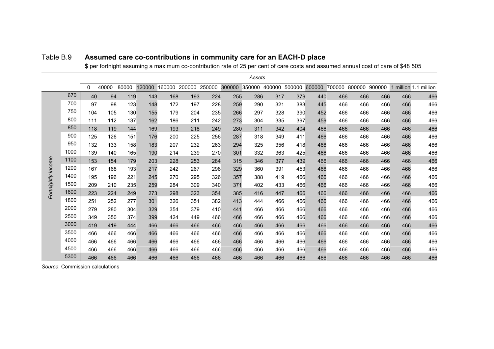|                    |      |          |       |       |        |        |        |        |        | Assets |        |        |        |        |        |        |     |                       |
|--------------------|------|----------|-------|-------|--------|--------|--------|--------|--------|--------|--------|--------|--------|--------|--------|--------|-----|-----------------------|
|                    |      | $\Omega$ | 40000 | 80000 | 120000 | 160000 | 200000 | 250000 | 300000 | 350000 | 400000 | 500000 | 600000 | 700000 | 800000 | 900000 |     | 1 million 1.1 million |
|                    | 670  | 40       | 94    | 119   | 143    | 168    | 193    | 224    | 255    | 286    | 317    | 379    | 440    | 466    | 466    | 466    | 466 | 466                   |
|                    | 700  | 97       | 98    | 123   | 148    | 172    | 197    | 228    | 259    | 290    | 321    | 383    | 445    | 466    | 466    | 466    | 466 | 466                   |
|                    | 750  | 104      | 105   | 130   | 155    | 179    | 204    | 235    | 266    | 297    | 328    | 390    | 452    | 466    | 466    | 466    | 466 | 466                   |
|                    | 800  | 111      | 112   | 137   | 162    | 186    | 211    | 242    | 273    | 304    | 335    | 397    | 459    | 466    | 466    | 466    | 466 | 466                   |
|                    | 850  | 118      | 119   | 144   | 169    | 193    | 218    | 249    | 280    | 311    | 342    | 404    | 466    | 466    | 466    | 466    | 466 | 466                   |
|                    | 900  | 125      | 126   | 151   | 176    | 200    | 225    | 256    | 287    | 318    | 349    | 411    | 466    | 466    | 466    | 466    | 466 | 466                   |
|                    | 950  | 132      | 133   | 158   | 183    | 207    | 232    | 263    | 294    | 325    | 356    | 418    | 466    | 466    | 466    | 466    | 466 | 466                   |
|                    | 1000 | 139      | 140   | 165   | 190    | 214    | 239    | 270    | 301    | 332    | 363    | 425    | 466    | 466    | 466    | 466    | 466 | 466                   |
| Fortnightly income | 1100 | 153      | 154   | 179   | 203    | 228    | 253    | 284    | 315    | 346    | 377    | 439    | 466    | 466    | 466    | 466    | 466 | 466                   |
|                    | 1200 | 167      | 168   | 193   | 217    | 242    | 267    | 298    | 329    | 360    | 391    | 453    | 466    | 466    | 466    | 466    | 466 | 466                   |
|                    | 1400 | 195      | 196   | 221   | 245    | 270    | 295    | 326    | 357    | 388    | 419    | 466    | 466    | 466    | 466    | 466    | 466 | 466                   |
|                    | 1500 | 209      | 210   | 235   | 259    | 284    | 309    | 340    | 371    | 402    | 433    | 466    | 466    | 466    | 466    | 466    | 466 | 466                   |
|                    | 1600 | 223      | 224   | 249   | 273    | 298    | 323    | 354    | 385    | 416    | 447    | 466    | 466    | 466    | 466    | 466    | 466 | 466                   |
|                    | 1800 | 251      | 252   | 277   | 301    | 326    | 351    | 382    | 413    | 444    | 466    | 466    | 466    | 466    | 466    | 466    | 466 | 466                   |
|                    | 2000 | 279      | 280   | 304   | 329    | 354    | 379    | 410    | 441    | 466    | 466    | 466    | 466    | 466    | 466    | 466    | 466 | 466                   |
|                    | 2500 | 349      | 350   | 374   | 399    | 424    | 449    | 466    | 466    | 466    | 466    | 466    | 466    | 466    | 466    | 466    | 466 | 466                   |
|                    | 3000 | 419      | 419   | 444   | 466    | 466    | 466    | 466    | 466    | 466    | 466    | 466    | 466    | 466    | 466    | 466    | 466 | 466                   |
|                    | 3500 | 466      | 466   | 466   | 466    | 466    | 466    | 466    | 466    | 466    | 466    | 466    | 466    | 466    | 466    | 466    | 466 | 466                   |
|                    | 4000 | 466      | 466   | 466   | 466    | 466    | 466    | 466    | 466    | 466    | 466    | 466    | 466    | 466    | 466    | 466    | 466 | 466                   |
|                    | 4500 | 466      | 466   | 466   | 466    | 466    | 466    | 466    | 466    | 466    | 466    | 466    | 466    | 466    | 466    | 466    | 466 | 466                   |
|                    | 5300 | 466      | 466   | 466   | 466    | 466    | 466    | 466    | 466    | 466    | 466    | 466    | 466    | 466    | 466    | 466    | 466 | 466                   |

#### Table B.9 **Assumed care co-contributions in community care for an EACH-D place**

\$ per fortnight assuming a maximum co-contribution rate of 25 per cent of care costs and assumed annual cost of care of \$48 505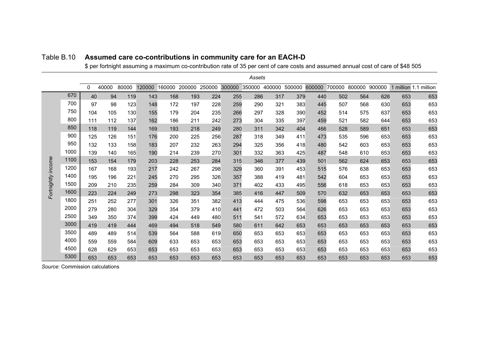|                    |      |          |       |       |        |        |        |        |        | Assets |        |        |        |        |        |        |     |                       |
|--------------------|------|----------|-------|-------|--------|--------|--------|--------|--------|--------|--------|--------|--------|--------|--------|--------|-----|-----------------------|
|                    |      | $\Omega$ | 40000 | 80000 | 120000 | 160000 | 200000 | 250000 | 300000 | 350000 | 400000 | 500000 | 600000 | 700000 | 800000 | 900000 |     | 1 million 1.1 million |
|                    | 670  | 40       | 94    | 119   | 143    | 168    | 193    | 224    | 255    | 286    | 317    | 379    | 440    | 502    | 564    | 626    | 653 | 653                   |
|                    | 700  | 97       | 98    | 123   | 148    | 172    | 197    | 228    | 259    | 290    | 321    | 383    | 445    | 507    | 568    | 630    | 653 | 653                   |
|                    | 750  | 104      | 105   | 130   | 155    | 179    | 204    | 235    | 266    | 297    | 328    | 390    | 452    | 514    | 575    | 637    | 653 | 653                   |
|                    | 800  | 111      | 112   | 137   | 162    | 186    | 211    | 242    | 273    | 304    | 335    | 397    | 459    | 521    | 582    | 644    | 653 | 653                   |
|                    | 850  | 118      | 119   | 144   | 169    | 193    | 218    | 249    | 280    | 311    | 342    | 404    | 466    | 528    | 589    | 651    | 653 | 653                   |
|                    | 900  | 125      | 126   | 151   | 176    | 200    | 225    | 256    | 287    | 318    | 349    | 411    | 473    | 535    | 596    | 653    | 653 | 653                   |
|                    | 950  | 132      | 133   | 158   | 183    | 207    | 232    | 263    | 294    | 325    | 356    | 418    | 480    | 542    | 603    | 653    | 653 | 653                   |
|                    | 1000 | 139      | 140   | 165   | 190    | 214    | 239    | 270    | 301    | 332    | 363    | 425    | 487    | 548    | 610    | 653    | 653 | 653                   |
| Fortnightly income | 1100 | 153      | 154   | 179   | 203    | 228    | 253    | 284    | 315    | 346    | 377    | 439    | 501    | 562    | 624    | 653    | 653 | 653                   |
|                    | 1200 | 167      | 168   | 193   | 217    | 242    | 267    | 298    | 329    | 360    | 391    | 453    | 515    | 576    | 638    | 653    | 653 | 653                   |
|                    | 1400 | 195      | 196   | 221   | 245    | 270    | 295    | 326    | 357    | 388    | 419    | 481    | 542    | 604    | 653    | 653    | 653 | 653                   |
|                    | 1500 | 209      | 210   | 235   | 259    | 284    | 309    | 340    | 371    | 402    | 433    | 495    | 556    | 618    | 653    | 653    | 653 | 653                   |
|                    | 1600 | 223      | 224   | 249   | 273    | 298    | 323    | 354    | 385    | 416    | 447    | 509    | 570    | 632    | 653    | 653    | 653 | 653                   |
|                    | 1800 | 251      | 252   | 277   | 301    | 326    | 351    | 382    | 413    | 444    | 475    | 536    | 598    | 653    | 653    | 653    | 653 | 653                   |
|                    | 2000 | 279      | 280   | 304   | 329    | 354    | 379    | 410    | 441    | 472    | 503    | 564    | 626    | 653    | 653    | 653    | 653 | 653                   |
|                    | 2500 | 349      | 350   | 374   | 399    | 424    | 449    | 480    | 511    | 541    | 572    | 634    | 653    | 653    | 653    | 653    | 653 | 653                   |
|                    | 3000 | 419      | 419   | 444   | 469    | 494    | 518    | 549    | 580    | 611    | 642    | 653    | 653    | 653    | 653    | 653    | 653 | 653                   |
|                    | 3500 | 489      | 489   | 514   | 539    | 564    | 588    | 619    | 650    | 653    | 653    | 653    | 653    | 653    | 653    | 653    | 653 | 653                   |
|                    | 4000 | 559      | 559   | 584   | 609    | 633    | 653    | 653    | 653    | 653    | 653    | 653    | 653    | 653    | 653    | 653    | 653 | 653                   |
|                    | 4500 | 628      | 629   | 653   | 653    | 653    | 653    | 653    | 653    | 653    | 653    | 653    | 653    | 653    | 653    | 653    | 653 | 653                   |
|                    | 5300 | 653      | 653   | 653   | 653    | 653    | 653    | 653    | 653    | 653    | 653    | 653    | 653    | 653    | 653    | 653    | 653 | 653                   |

#### Table B.10 **Assumed care co-contributions in community care for an EACH-D**

\$ per fortnight assuming a maximum co-contribution rate of 35 per cent of care costs and assumed annual cost of care of \$48 505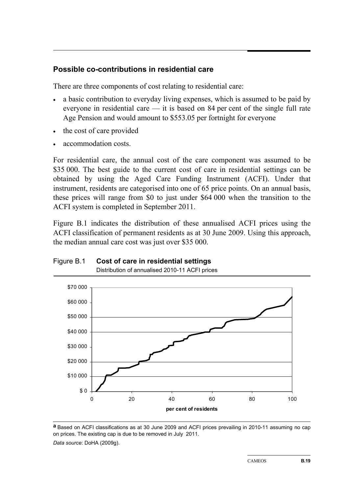#### **Possible co-contributions in residential care**

There are three components of cost relating to residential care:

- a basic contribution to everyday living expenses, which is assumed to be paid by everyone in residential care — it is based on 84 per cent of the single full rate Age Pension and would amount to \$553.05 per fortnight for everyone
- the cost of care provided
- accommodation costs.

For residential care, the annual cost of the care component was assumed to be \$35,000. The best guide to the current cost of care in residential settings can be obtained by using the Aged Care Funding Instrument (ACFI). Under that instrument, residents are categorised into one of 65 price points. On an annual basis, these prices will range from \$0 to just under \$64 000 when the transition to the ACFI system is completed in September 2011.

Figure B.1 indicates the distribution of these annualised ACFI prices using the ACFI classification of permanent residents as at 30 June 2009. Using this approach, the median annual care cost was just over \$35 000.

## Figure B.1 **Cost of care in residential settings**



Distribution of annualised 2010-11 ACFI prices

**a** Based on ACFI classifications as at 30 June 2009 and ACFI prices prevailing in 2010-11 assuming no cap on prices. The existing cap is due to be removed in July 2011. *Data source*: DoHA (2009g).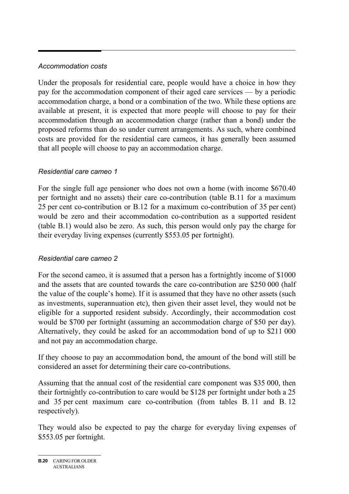#### *Accommodation costs*

Under the proposals for residential care, people would have a choice in how they pay for the accommodation component of their aged care services — by a periodic accommodation charge, a bond or a combination of the two. While these options are available at present, it is expected that more people will choose to pay for their accommodation through an accommodation charge (rather than a bond) under the proposed reforms than do so under current arrangements. As such, where combined costs are provided for the residential care cameos, it has generally been assumed that all people will choose to pay an accommodation charge.

#### *Residential care cameo 1*

For the single full age pensioner who does not own a home (with income \$670.40 per fortnight and no assets) their care co-contribution (table B.11 for a maximum 25 per cent co-contribution or B.12 for a maximum co-contribution of 35 per cent) would be zero and their accommodation co-contribution as a supported resident (table B.1) would also be zero. As such, this person would only pay the charge for their everyday living expenses (currently \$553.05 per fortnight).

#### *Residential care cameo 2*

For the second cameo, it is assumed that a person has a fortnightly income of \$1000 and the assets that are counted towards the care co-contribution are \$250 000 (half the value of the couple's home). If it is assumed that they have no other assets (such as investments, superannuation etc), then given their asset level, they would not be eligible for a supported resident subsidy. Accordingly, their accommodation cost would be \$700 per fortnight (assuming an accommodation charge of \$50 per day). Alternatively, they could be asked for an accommodation bond of up to \$211 000 and not pay an accommodation charge.

If they choose to pay an accommodation bond, the amount of the bond will still be considered an asset for determining their care co-contributions.

Assuming that the annual cost of the residential care component was \$35 000, then their fortnightly co-contribution to care would be \$128 per fortnight under both a 25 and 35 per cent maximum care co-contribution (from tables B. 11 and B. 12 respectively).

They would also be expected to pay the charge for everyday living expenses of \$553.05 per fortnight.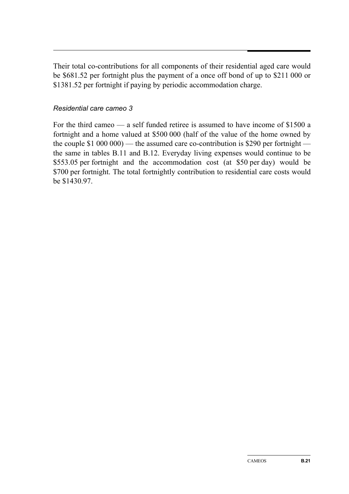Their total co-contributions for all components of their residential aged care would be \$681.52 per fortnight plus the payment of a once off bond of up to \$211 000 or \$1381.52 per fortnight if paying by periodic accommodation charge.

#### *Residential care cameo 3*

For the third cameo — a self funded retiree is assumed to have income of \$1500 a fortnight and a home valued at \$500 000 (half of the value of the home owned by the couple \$1 000 000) — the assumed care co-contribution is \$290 per fortnight the same in tables B.11 and B.12. Everyday living expenses would continue to be \$553.05 per fortnight and the accommodation cost (at \$50 per day) would be \$700 per fortnight. The total fortnightly contribution to residential care costs would be \$1430.97.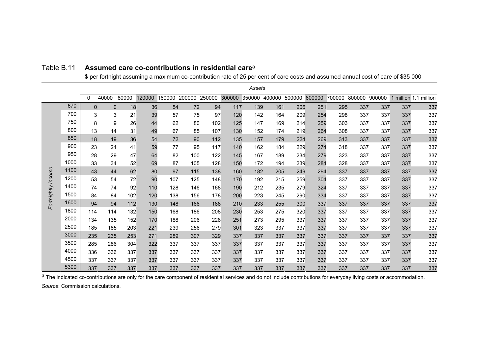|                    |      |          |                          |       |        |        |        |        |        | Assets        |     |        |        |        |        |        |     |                       |
|--------------------|------|----------|--------------------------|-------|--------|--------|--------|--------|--------|---------------|-----|--------|--------|--------|--------|--------|-----|-----------------------|
|                    |      | $\Omega$ | 40000                    | 80000 | 120000 | 160000 | 200000 | 250000 | 300000 | 350000 400000 |     | 500000 | 600000 | 700000 | 800000 | 900000 |     | 1 million 1.1 million |
|                    | 670  |          | $\Omega$<br>$\mathbf{0}$ | 18    | 36     | 54     | 72     | 94     | 117    | 139           | 161 | 206    | 251    | 295    | 337    | 337    | 337 | 337                   |
|                    | 700  |          | 3<br>3                   | 21    | 39     | 57     | 75     | 97     | 120    | 142           | 164 | 209    | 254    | 298    | 337    | 337    | 337 | 337                   |
|                    | 750  |          | 8<br>9                   | 26    | 44     | 62     | 80     | 102    | 125    | 147           | 169 | 214    | 259    | 303    | 337    | 337    | 337 | 337                   |
|                    | 800  | 13       | 14                       | 31    | 49     | 67     | 85     | 107    | 130    | 152           | 174 | 219    | 264    | 308    | 337    | 337    | 337 | 337                   |
|                    | 850  | 18       | 19                       | 36    | 54     | 72     | 90     | 112    | 135    | 157           | 179 | 224    | 269    | 313    | 337    | 337    | 337 | 337                   |
|                    | 900  | 23       | 24                       | 41    | 59     | 77     | 95     | 117    | 140    | 162           | 184 | 229    | 274    | 318    | 337    | 337    | 337 | 337                   |
|                    | 950  | 28       | 29                       | 47    | 64     | 82     | 100    | 122    | 145    | 167           | 189 | 234    | 279    | 323    | 337    | 337    | 337 | 337                   |
|                    | 1000 | 33       | 34                       | 52    | 69     | 87     | 105    | 128    | 150    | 172           | 194 | 239    | 284    | 328    | 337    | 337    | 337 | 337                   |
|                    | 1100 | 43       | 44                       | 62    | 80     | 97     | 115    | 138    | 160    | 182           | 205 | 249    | 294    | 337    | 337    | 337    | 337 | 337                   |
| Fortnightly income | 1200 | 53       | 54                       | 72    | 90     | 107    | 125    | 148    | 170    | 192           | 215 | 259    | 304    | 337    | 337    | 337    | 337 | 337                   |
|                    | 1400 | 74       | 74                       | 92    | 110    | 128    | 146    | 168    | 190    | 212           | 235 | 279    | 324    | 337    | 337    | 337    | 337 | 337                   |
|                    | 1500 | 84       | 84                       | 102   | 120    | 138    | 156    | 178    | 200    | 223           | 245 | 290    | 334    | 337    | 337    | 337    | 337 | 337                   |
|                    | 1600 | 94       | 94                       | 112   | 130    | 148    | 166    | 188    | 210    | 233           | 255 | 300    | 337    | 337    | 337    | 337    | 337 | 337                   |
|                    | 1800 | 114      | 114                      | 132   | 150    | 168    | 186    | 208    | 230    | 253           | 275 | 320    | 337    | 337    | 337    | 337    | 337 | 337                   |
|                    | 2000 | 134      | 135                      | 152   | 170    | 188    | 206    | 228    | 251    | 273           | 295 | 337    | 337    | 337    | 337    | 337    | 337 | 337                   |
|                    | 2500 | 185      | 185                      | 203   | 221    | 239    | 256    | 279    | 301    | 323           | 337 | 337    | 337    | 337    | 337    | 337    | 337 | 337                   |
|                    | 3000 | 235      | 235                      | 253   | 271    | 289    | 307    | 329    | 337    | 337           | 337 | 337    | 337    | 337    | 337    | 337    | 337 | 337                   |
|                    | 3500 | 285      | 286                      | 304   | 322    | 337    | 337    | 337    | 337    | 337           | 337 | 337    | 337    | 337    | 337    | 337    | 337 | 337                   |
|                    | 4000 | 336      | 336                      | 337   | 337    | 337    | 337    | 337    | 337    | 337           | 337 | 337    | 337    | 337    | 337    | 337    | 337 | 337                   |
|                    | 4500 | 337      | 337                      | 337   | 337    | 337    | 337    | 337    | 337    | 337           | 337 | 337    | 337    | 337    | 337    | 337    | 337 | 337                   |
|                    | 5300 | 337      | 337                      | 337   | 337    | 337    | 337    | 337    | 337    | 337           | 337 | 337    | 337    | 337    | 337    | 337    | 337 | 337                   |

#### Table B.11 **Assumed care co-contributions in residential care**<sup>a</sup>

\$ per fortnight assuming a maximum co-contribution rate of 25 per cent of care costs and assumed annual cost of care of \$35 000

a The indicated co-contributions are only for the care component of residential services and do not include contributions for everyday living costs or accommodation.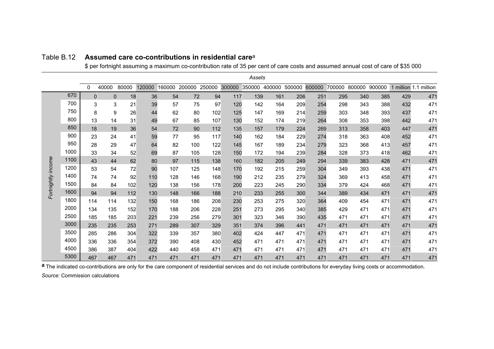|                    |      |             |              |       |        |        |        |        |        | Assets |        |        |        |        |        |        |     |                       |
|--------------------|------|-------------|--------------|-------|--------|--------|--------|--------|--------|--------|--------|--------|--------|--------|--------|--------|-----|-----------------------|
|                    |      | 0           | 40000        | 80000 | 120000 | 160000 | 200000 | 250000 | 300000 | 350000 | 400000 | 500000 | 600000 | 700000 | 800000 | 900000 |     | 1 million 1.1 million |
|                    | 670  | $\mathbf 0$ | $\mathbf{0}$ | 18    | 36     | 54     | 72     | 94     | 117    | 139    | 161    | 206    | 251    | 295    | 340    | 385    | 429 | 471                   |
|                    | 700  | 3           | 3            | 21    | 39     | 57     | 75     | 97     | 120    | 142    | 164    | 209    | 254    | 298    | 343    | 388    | 432 | 471                   |
|                    | 750  | 8           | 9            | 26    | 44     | 62     | 80     | 102    | 125    | 147    | 169    | 214    | 259    | 303    | 348    | 393    | 437 | 471                   |
|                    | 800  | 13          | 14           | 31    | 49     | 67     | 85     | 107    | 130    | 152    | 174    | 219    | 264    | 308    | 353    | 398    | 442 | 471                   |
|                    | 850  | 18          | 19           | 36    | 54     | 72     | 90     | 112    | 135    | 157    | 179    | 224    | 269    | 313    | 358    | 403    | 447 | 471                   |
|                    | 900  | 23          | 24           | 41    | 59     | 77     | 95     | 117    | 140    | 162    | 184    | 229    | 274    | 318    | 363    | 408    | 452 | 471                   |
|                    | 950  | 28          | 29           | 47    | 64     | 82     | 100    | 122    | 145    | 167    | 189    | 234    | 279    | 323    | 368    | 413    | 457 | 471                   |
|                    | 1000 | 33          | 34           | 52    | 69     | 87     | 105    | 128    | 150    | 172    | 194    | 239    | 284    | 328    | 373    | 418    | 462 | 471                   |
| Fortnightly income | 1100 | 43          | 44           | 62    | 80     | 97     | 115    | 138    | 160    | 182    | 205    | 249    | 294    | 339    | 383    | 428    | 471 | 471                   |
|                    | 1200 | 53          | 54           | 72    | 90     | 107    | 125    | 148    | 170    | 192    | 215    | 259    | 304    | 349    | 393    | 438    | 471 | 471                   |
|                    | 1400 | 74          | 74           | 92    | 110    | 128    | 146    | 168    | 190    | 212    | 235    | 279    | 324    | 369    | 413    | 458    | 471 | 471                   |
|                    | 1500 | 84          | 84           | 102   | 120    | 138    | 156    | 178    | 200    | 223    | 245    | 290    | 334    | 379    | 424    | 468    | 471 | 471                   |
|                    | 1600 | 94          | 94           | 112   | 130    | 148    | 166    | 188    | 210    | 233    | 255    | 300    | 344    | 389    | 434    | 471    | 471 | 471                   |
|                    | 1800 | 114         | 114          | 132   | 150    | 168    | 186    | 208    | 230    | 253    | 275    | 320    | 364    | 409    | 454    | 471    | 471 | 471                   |
|                    | 2000 | 134         | 135          | 152   | 170    | 188    | 206    | 228    | 251    | 273    | 295    | 340    | 385    | 429    | 471    | 471    | 471 | 471                   |
|                    | 2500 | 185         | 185          | 203   | 221    | 239    | 256    | 279    | 301    | 323    | 346    | 390    | 435    | 471    | 471    | 471    | 471 | 471                   |
|                    | 3000 | 235         | 235          | 253   | 271    | 289    | 307    | 329    | 351    | 374    | 396    | 441    | 471    | 471    | 471    | 471    | 471 | 471                   |
|                    | 3500 | 285         | 286          | 304   | 322    | 339    | 357    | 380    | 402    | 424    | 447    | 471    | 471    | 471    | 471    | 471    | 471 | 471                   |
|                    | 4000 | 336         | 336          | 354   | 372    | 390    | 408    | 430    | 452    | 471    | 471    | 471    | 471    | 471    | 471    | 471    | 471 | 471                   |
|                    | 4500 | 386         | 387          | 404   | 422    | 440    | 458    | 471    | 471    | 471    | 471    | 471    | 471    | 471    | 471    | 471    | 471 | 471                   |
|                    | 5300 | 467         | 467          | 471   | 471    | 471    | 471    | 471    | 471    | 471    | 471    | 471    | 471    | 471    | 471    | 471    | 471 | 471                   |

#### Table B.12 **Assumed care co-contributions in residential care**<sup>a</sup>

\$ per fortnight assuming a maximum co-contribution rate of 35 per cent of care costs and assumed annual cost of care of \$35 000

a The indicated co-contributions are only for the care component of residential services and do not include contributions for everyday living costs or accommodation. *Source*: Commission calculations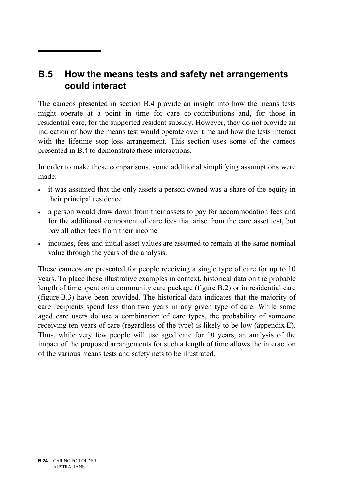# **B.5 How the means tests and safety net arrangements could interact**

The cameos presented in section B.4 provide an insight into how the means tests might operate at a point in time for care co-contributions and, for those in residential care, for the supported resident subsidy. However, they do not provide an indication of how the means test would operate over time and how the tests interact with the lifetime stop-loss arrangement. This section uses some of the cameos presented in B.4 to demonstrate these interactions.

In order to make these comparisons, some additional simplifying assumptions were made:

- it was assumed that the only assets a person owned was a share of the equity in their principal residence
- a person would draw down from their assets to pay for accommodation fees and for the additional component of care fees that arise from the care asset test, but pay all other fees from their income
- incomes, fees and initial asset values are assumed to remain at the same nominal value through the years of the analysis.

These cameos are presented for people receiving a single type of care for up to 10 years. To place these illustrative examples in context, historical data on the probable length of time spent on a community care package (figure B.2) or in residential care (figure B.3) have been provided. The historical data indicates that the majority of care recipients spend less than two years in any given type of care. While some aged care users do use a combination of care types, the probability of someone receiving ten years of care (regardless of the type) is likely to be low (appendix E). Thus, while very few people will use aged care for 10 years, an analysis of the impact of the proposed arrangements for such a length of time allows the interaction of the various means tests and safety nets to be illustrated.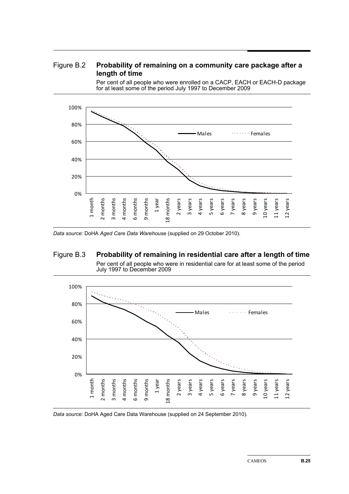#### Figure B.2 **Probability of remaining on a community care package after a length of time**

Per cent of all people who were enrolled on a CACP, EACH or EACH-D package for at least some of the period July 1997 to December 2009



*Data source*: DoHA *Aged Care Data Warehouse* (supplied on 29 October 2010).

#### Figure B.3 **Probability of remaining in residential care after a length of time**  Per cent of all people who were in residential care for at least some of the period July 1997 to December 2009



*Data source*: DoHA Aged Care Data Warehouse (supplied on 24 September 2010).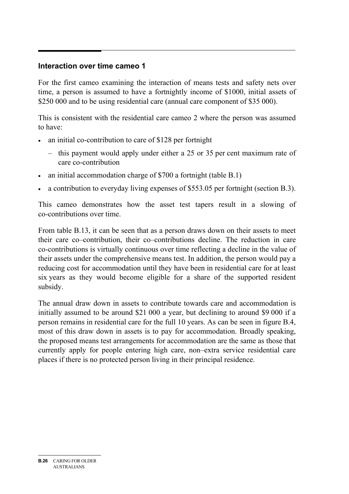#### **Interaction over time cameo 1**

For the first cameo examining the interaction of means tests and safety nets over time, a person is assumed to have a fortnightly income of \$1000, initial assets of \$250 000 and to be using residential care (annual care component of \$35 000).

This is consistent with the residential care cameo 2 where the person was assumed to have:

- an initial co-contribution to care of \$128 per fortnight
	- this payment would apply under either a 25 or 35 per cent maximum rate of care co-contribution
- an initial accommodation charge of \$700 a fortnight (table B.1)
- a contribution to everyday living expenses of \$553.05 per fortnight (section B.3).

This cameo demonstrates how the asset test tapers result in a slowing of co-contributions over time.

From table B.13, it can be seen that as a person draws down on their assets to meet their care co–contribution, their co–contributions decline. The reduction in care co-contributions is virtually continuous over time reflecting a decline in the value of their assets under the comprehensive means test. In addition, the person would pay a reducing cost for accommodation until they have been in residential care for at least six years as they would become eligible for a share of the supported resident subsidy.

The annual draw down in assets to contribute towards care and accommodation is initially assumed to be around \$21 000 a year, but declining to around \$9 000 if a person remains in residential care for the full 10 years. As can be seen in figure B.4, most of this draw down in assets is to pay for accommodation. Broadly speaking, the proposed means test arrangements for accommodation are the same as those that currently apply for people entering high care, non–extra service residential care places if there is no protected person living in their principal residence.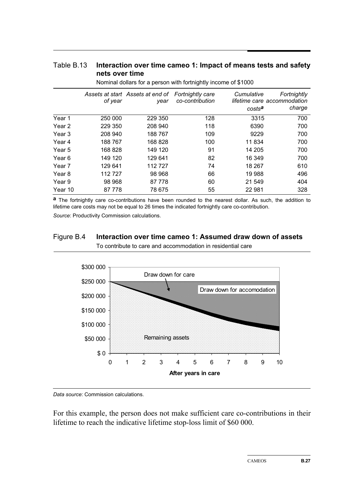#### Table B.13 **Interaction over time cameo 1: Impact of means tests and safety nets over time**

|         | of year | Assets at start Assets at end of<br>year | <b>Fortnightly care</b><br>co-contribution | Cumulative<br>costs <sup>a</sup> | Fortnightly<br>lifetime care accommodation<br>charge |
|---------|---------|------------------------------------------|--------------------------------------------|----------------------------------|------------------------------------------------------|
| Year 1  | 250 000 | 229 350                                  | 128                                        | 3315                             | 700                                                  |
| Year 2  | 229 350 | 208 940                                  | 118                                        | 6390                             | 700                                                  |
| Year 3  | 208 940 | 188767                                   | 109                                        | 9229                             | 700                                                  |
| Year 4  | 188767  | 168 828                                  | 100                                        | 11834                            | 700                                                  |
| Year 5  | 168 828 | 149 120                                  | 91                                         | 14 205                           | 700                                                  |
| Year 6  | 149 120 | 129 641                                  | 82                                         | 16 349                           | 700                                                  |
| Year 7  | 129 641 | 112 727                                  | 74                                         | 18 267                           | 610                                                  |
| Year 8  | 112727  | 98 968                                   | 66                                         | 19 988                           | 496                                                  |
| Year 9  | 98 968  | 87 778                                   | 60                                         | 21 549                           | 404                                                  |
| Year 10 | 87 778  | 78 675                                   | 55                                         | 22 981                           | 328                                                  |

Nominal dollars for a person with fortnightly income of \$1000

**a** The fortnightly care co-contributions have been rounded to the nearest dollar. As such, the addition to lifetime care costs may not be equal to 26 times the indicated fortnightly care co-contribution.

*Source*: Productivity Commission calculations.

#### Figure B.4 **Interaction over time cameo 1: Assumed draw down of assets**  To contribute to care and accommodation in residential care



*Data source*: Commission calculations.

For this example, the person does not make sufficient care co-contributions in their lifetime to reach the indicative lifetime stop-loss limit of \$60 000.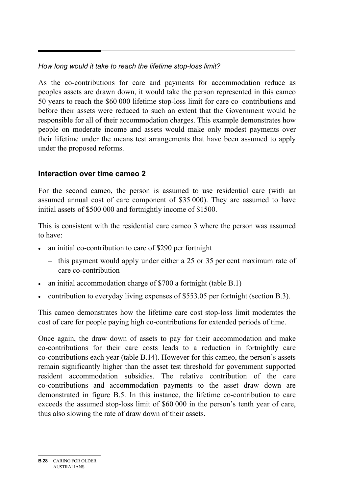#### *How long would it take to reach the lifetime stop-loss limit?*

As the co-contributions for care and payments for accommodation reduce as peoples assets are drawn down, it would take the person represented in this cameo 50 years to reach the \$60 000 lifetime stop-loss limit for care co–contributions and before their assets were reduced to such an extent that the Government would be responsible for all of their accommodation charges. This example demonstrates how people on moderate income and assets would make only modest payments over their lifetime under the means test arrangements that have been assumed to apply under the proposed reforms.

## **Interaction over time cameo 2**

For the second cameo, the person is assumed to use residential care (with an assumed annual cost of care component of \$35 000). They are assumed to have initial assets of \$500 000 and fortnightly income of \$1500.

This is consistent with the residential care cameo 3 where the person was assumed to have:

- an initial co-contribution to care of \$290 per fortnight
	- this payment would apply under either a 25 or 35 per cent maximum rate of care co-contribution
- an initial accommodation charge of \$700 a fortnight (table B.1)
- contribution to everyday living expenses of \$553.05 per fortnight (section B.3).

This cameo demonstrates how the lifetime care cost stop-loss limit moderates the cost of care for people paying high co-contributions for extended periods of time.

Once again, the draw down of assets to pay for their accommodation and make co-contributions for their care costs leads to a reduction in fortnightly care co-contributions each year (table B.14). However for this cameo, the person's assets remain significantly higher than the asset test threshold for government supported resident accommodation subsidies. The relative contribution of the care co-contributions and accommodation payments to the asset draw down are demonstrated in figure B.5. In this instance, the lifetime co-contribution to care exceeds the assumed stop-loss limit of \$60 000 in the person's tenth year of care, thus also slowing the rate of draw down of their assets.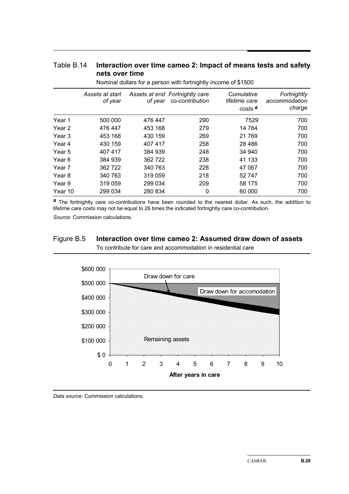#### Table B.14 **Interaction over time cameo 2: Impact of means tests and safety nets over time**

|         | Assets at start<br>of year | of year | Assets at end Fortnightly care<br>co-contribution | Cumulative<br>lifetime care<br>costs <sup>a</sup> | Fortnightly<br>accommodation<br>charge |
|---------|----------------------------|---------|---------------------------------------------------|---------------------------------------------------|----------------------------------------|
| Year 1  | 500 000                    | 476 447 | 290                                               | 7529                                              | 700                                    |
| Year 2  | 476 447                    | 453 168 | 279                                               | 14 784                                            | 700                                    |
| Year 3  | 453 168                    | 430 159 | 269                                               | 21769                                             | 700                                    |
| Year 4  | 430 159                    | 407 417 | 258                                               | 28 4 8 6                                          | 700                                    |
| Year 5  | 407 417                    | 384 939 | 248                                               | 34 940                                            | 700                                    |
| Year 6  | 384 939                    | 362 722 | 238                                               | 41 133                                            | 700                                    |
| Year 7  | 362 722                    | 340 763 | 228                                               | 47 067                                            | 700                                    |
| Year 8  | 340 763                    | 319 059 | 218                                               | 52747                                             | 700                                    |
| Year 9  | 319 059                    | 299 034 | 209                                               | 58 175                                            | 700                                    |
| Year 10 | 299 034                    | 280 834 | 0                                                 | 60 000                                            | 700                                    |

Nominal dollars for a person with fortnightly income of \$1500

**a** The fortnightly care co-contributions have been rounded to the nearest dollar. As such, the addition to lifetime care costs may not be equal to 26 times the indicated fortnightly care co-contribution.

*Source*: Commission calculations.

## Figure B.5 **Interaction over time cameo 2: Assumed draw down of assets**

To contribute for care and accommodation in residential care



*Data source*: Commission calculations.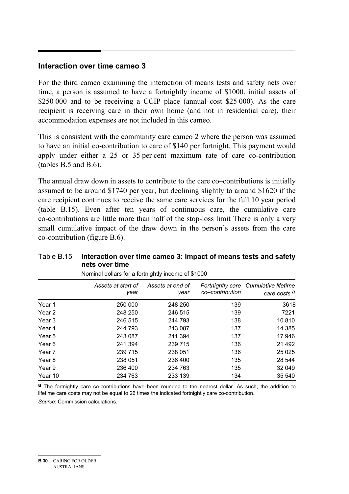#### **Interaction over time cameo 3**

For the third cameo examining the interaction of means tests and safety nets over time, a person is assumed to have a fortnightly income of \$1000, initial assets of \$250,000 and to be receiving a CCIP place (annual cost \$25,000). As the care recipient is receiving care in their own home (and not in residential care), their accommodation expenses are not included in this cameo.

This is consistent with the community care cameo 2 where the person was assumed to have an initial co-contribution to care of \$140 per fortnight. This payment would apply under either a 25 or 35 per cent maximum rate of care co-contribution (tables B.5 and B.6).

The annual draw down in assets to contribute to the care co–contributions is initially assumed to be around \$1740 per year, but declining slightly to around \$1620 if the care recipient continues to receive the same care services for the full 10 year period (table B.15). Even after ten years of continuous care, the cumulative care co-contributions are little more than half of the stop-loss limit There is only a very small cumulative impact of the draw down in the person's assets from the care co-contribution (figure B.6).

#### Table B.15 **Interaction over time cameo 3: Impact of means tests and safety nets over time**

|         | Assets at start of<br>year | Assets at end of<br>year | co–contribution | Fortnightly care Cumulative lifetime<br>care costs <sup>a</sup> |
|---------|----------------------------|--------------------------|-----------------|-----------------------------------------------------------------|
| Year 1  | 250 000                    | 248 250                  | 139             | 3618                                                            |
| Year 2  | 248 250                    | 246 515                  | 139             | 7221                                                            |
| Year 3  | 246 515                    | 244 793                  | 138             | 10810                                                           |
| Year 4  | 244 793                    | 243 087                  | 137             | 14 3 8 5                                                        |
| Year 5  | 243 087                    | 241 394                  | 137             | 17946                                                           |
| Year 6  | 241 394                    | 239 715                  | 136             | 21 4 9 2                                                        |
| Year 7  | 239 715                    | 238 051                  | 136             | 25 0 25                                                         |
| Year 8  | 238 051                    | 236 400                  | 135             | 28 544                                                          |
| Year 9  | 236 400                    | 234 763                  | 135             | 32 049                                                          |
| Year 10 | 234 763                    | 233 139                  | 134             | 35 540                                                          |

Nominal dollars for a fortnightly income of \$1000

**a** The fortnightly care co-contributions have been rounded to the nearest dollar. As such, the addition to lifetime care costs may not be equal to 26 times the indicated fortnightly care co-contribution.